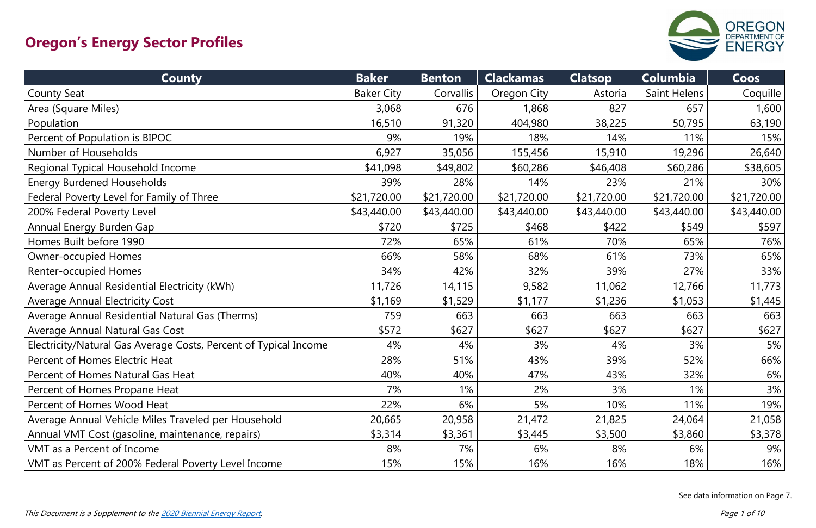| <b>County</b>                                                    | <b>Baker</b>      | <b>Benton</b> | <b>Clackamas</b> | <b>Clatsop</b> | <b>Columbia</b> | Coos        |
|------------------------------------------------------------------|-------------------|---------------|------------------|----------------|-----------------|-------------|
| <b>County Seat</b>                                               | <b>Baker City</b> | Corvallis     | Oregon City      | Astoria        | Saint Helens    | Coquille    |
| Area (Square Miles)                                              | 3,068             | 676           | 1,868            | 827            | 657             | 1,600       |
| Population                                                       | 16,510            | 91,320        | 404,980          | 38,225         | 50,795          | 63,190      |
| Percent of Population is BIPOC                                   | 9%                | 19%           | 18%              | 14%            | 11%             | 15%         |
| Number of Households                                             | 6,927             | 35,056        | 155,456          | 15,910         | 19,296          | 26,640      |
| Regional Typical Household Income                                | \$41,098          | \$49,802      | \$60,286         | \$46,408       | \$60,286        | \$38,605    |
| <b>Energy Burdened Households</b>                                | 39%               | 28%           | 14%              | 23%            | 21%             | 30%         |
| Federal Poverty Level for Family of Three                        | \$21,720.00       | \$21,720.00   | \$21,720.00      | \$21,720.00    | \$21,720.00     | \$21,720.00 |
| 200% Federal Poverty Level                                       | \$43,440.00       | \$43,440.00   | \$43,440.00      | \$43,440.00    | \$43,440.00     | \$43,440.00 |
| Annual Energy Burden Gap                                         | \$720             | \$725         | \$468            | \$422          | \$549           | \$597       |
| Homes Built before 1990                                          | 72%               | 65%           | 61%              | 70%            | 65%             | 76%         |
| <b>Owner-occupied Homes</b>                                      | 66%               | 58%           | 68%              | 61%            | 73%             | 65%         |
| <b>Renter-occupied Homes</b>                                     | 34%               | 42%           | 32%              | 39%            | 27%             | 33%         |
| Average Annual Residential Electricity (kWh)                     | 11,726            | 14,115        | 9,582            | 11,062         | 12,766          | 11,773      |
| <b>Average Annual Electricity Cost</b>                           | \$1,169           | \$1,529       | \$1,177          | \$1,236        | \$1,053         | \$1,445     |
| Average Annual Residential Natural Gas (Therms)                  | 759               | 663           | 663              | 663            | 663             | 663         |
| <b>Average Annual Natural Gas Cost</b>                           | \$572             | \$627         | \$627            | \$627          | \$627           | \$627       |
| Electricity/Natural Gas Average Costs, Percent of Typical Income | 4%                | 4%            | 3%               | 4%             | 3%              | 5%          |
| Percent of Homes Electric Heat                                   | 28%               | 51%           | 43%              | 39%            | 52%             | 66%         |
| Percent of Homes Natural Gas Heat                                | 40%               | 40%           | 47%              | 43%            | 32%             | 6%          |
| Percent of Homes Propane Heat                                    | 7%                | $1\%$         | 2%               | 3%             | 1%              | 3%          |
| Percent of Homes Wood Heat                                       | 22%               | 6%            | 5%               | 10%            | 11%             | 19%         |
| Average Annual Vehicle Miles Traveled per Household              | 20,665            | 20,958        | 21,472           | 21,825         | 24,064          | 21,058      |
| Annual VMT Cost (gasoline, maintenance, repairs)                 | \$3,314           | \$3,361       | \$3,445          | \$3,500        | \$3,860         | \$3,378     |
| VMT as a Percent of Income                                       | 8%                | 7%            | 6%               | 8%             | 6%              | 9%          |
| VMT as Percent of 200% Federal Poverty Level Income              | 15%               | 15%           | 16%              | 16%            | 18%             | 16%         |



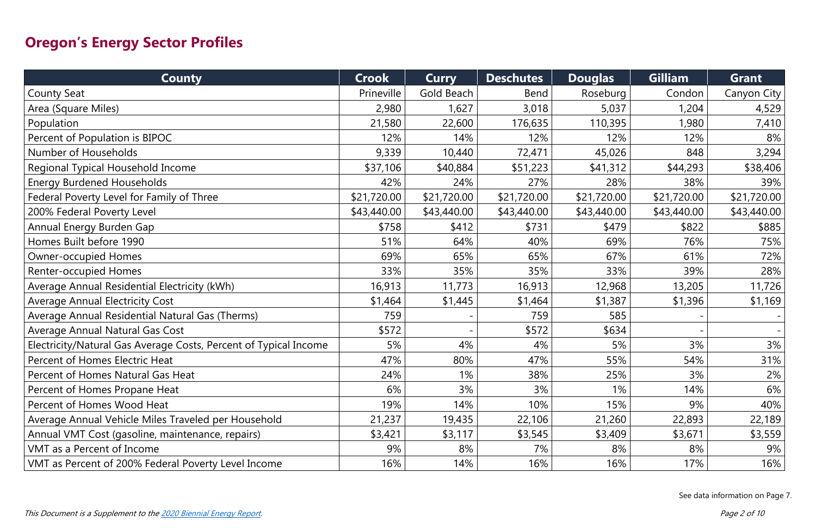| <b>County</b>                                                    | <b>Crook</b> | <b>Curry</b> | <b>Deschutes</b> | <b>Douglas</b> | <b>Gilliam</b> | <b>Grant</b> |
|------------------------------------------------------------------|--------------|--------------|------------------|----------------|----------------|--------------|
| <b>County Seat</b>                                               | Prineville   | Gold Beach   | <b>Bend</b>      | Roseburg       | Condon         | Canyon City  |
| Area (Square Miles)                                              | 2,980        | 1,627        | 3,018            | 5,037          | 1,204          | 4,529        |
| Population                                                       | 21,580       | 22,600       | 176,635          | 110,395        | 1,980          | 7,410        |
| Percent of Population is BIPOC                                   | 12%          | 14%          | 12%              | 12%            | 12%            | 8%           |
| Number of Households                                             | 9,339        | 10,440       | 72,471           | 45,026         | 848            | 3,294        |
| Regional Typical Household Income                                | \$37,106     | \$40,884     | \$51,223         | \$41,312       | \$44,293       | \$38,406     |
| <b>Energy Burdened Households</b>                                | 42%          | 24%          | 27%              | 28%            | 38%            | 39%          |
| Federal Poverty Level for Family of Three                        | \$21,720.00  | \$21,720.00  | \$21,720.00      | \$21,720.00    | \$21,720.00    | \$21,720.00  |
| 200% Federal Poverty Level                                       | \$43,440.00  | \$43,440.00  | \$43,440.00      | \$43,440.00    | \$43,440.00    | \$43,440.00  |
| Annual Energy Burden Gap                                         | \$758        | \$412        | \$731            | \$479          | \$822          | \$885        |
| Homes Built before 1990                                          | 51%          | 64%          | 40%              | 69%            | 76%            | 75%          |
| <b>Owner-occupied Homes</b>                                      | 69%          | 65%          | 65%              | 67%            | 61%            | 72%          |
| <b>Renter-occupied Homes</b>                                     | 33%          | 35%          | 35%              | 33%            | 39%            | 28%          |
| Average Annual Residential Electricity (kWh)                     | 16,913       | 11,773       | 16,913           | 12,968         | 13,205         | 11,726       |
| <b>Average Annual Electricity Cost</b>                           | \$1,464      | \$1,445      | \$1,464          | \$1,387        | \$1,396        | \$1,169      |
| Average Annual Residential Natural Gas (Therms)                  | 759          |              | 759              | 585            |                |              |
| <b>Average Annual Natural Gas Cost</b>                           | \$572        |              | \$572            | \$634          |                |              |
| Electricity/Natural Gas Average Costs, Percent of Typical Income | 5%           | 4%           | 4%               | 5%             | 3%             | 3%           |
| Percent of Homes Electric Heat                                   | 47%          | 80%          | 47%              | 55%            | 54%            | 31%          |
| Percent of Homes Natural Gas Heat                                | 24%          | 1%           | 38%              | 25%            | 3%             | $2\%$        |
| Percent of Homes Propane Heat                                    | 6%           | 3%           | 3%               | $1\%$          | 14%            | 6%           |
| Percent of Homes Wood Heat                                       | 19%          | 14%          | 10%              | 15%            | 9%             | 40%          |
| Average Annual Vehicle Miles Traveled per Household              | 21,237       | 19,435       | 22,106           | 21,260         | 22,893         | 22,189       |
| Annual VMT Cost (gasoline, maintenance, repairs)                 | \$3,421      | \$3,117      | \$3,545          | \$3,409        | \$3,671        | \$3,559      |
| <b>VMT</b> as a Percent of Income                                | 9%           | 8%           | 7%               | 8%             | 8%             | 9%           |
| VMT as Percent of 200% Federal Poverty Level Income              | 16%          | 14%          | 16%              | 16%            | 17%            | 16%          |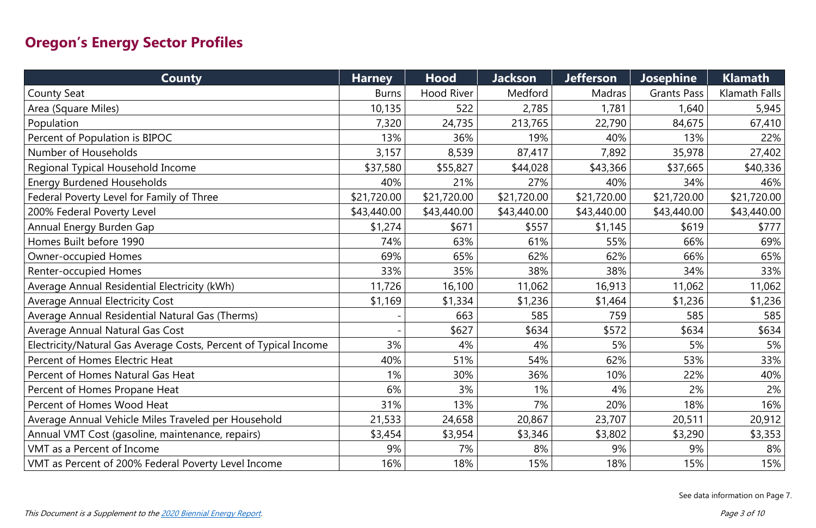| <b>County</b>                                                    | <b>Harney</b> | <b>Hood</b>       | <b>Jackson</b> | <b>Jefferson</b> | <b>Josephine</b>   | <b>Klamath</b> |
|------------------------------------------------------------------|---------------|-------------------|----------------|------------------|--------------------|----------------|
| <b>County Seat</b>                                               | <b>Burns</b>  | <b>Hood River</b> | Medford        | Madras           | <b>Grants Pass</b> | Klamath Falls  |
| Area (Square Miles)                                              | 10,135        | 522               | 2,785          | 1,781            | 1,640              | 5,945          |
| Population                                                       | 7,320         | 24,735            | 213,765        | 22,790           | 84,675             | 67,410         |
| Percent of Population is BIPOC                                   | 13%           | 36%               | 19%            | 40%              | 13%                | 22%            |
| Number of Households                                             | 3,157         | 8,539             | 87,417         | 7,892            | 35,978             | 27,402         |
| Regional Typical Household Income                                | \$37,580      | \$55,827          | \$44,028       | \$43,366         | \$37,665           | \$40,336       |
| <b>Energy Burdened Households</b>                                | 40%           | 21%               | 27%            | 40%              | 34%                | 46%            |
| Federal Poverty Level for Family of Three                        | \$21,720.00   | \$21,720.00       | \$21,720.00    | \$21,720.00      | \$21,720.00        | \$21,720.00    |
| 200% Federal Poverty Level                                       | \$43,440.00   | \$43,440.00       | \$43,440.00    | \$43,440.00      | \$43,440.00        | \$43,440.00    |
| Annual Energy Burden Gap                                         | \$1,274       | \$671             | \$557          | \$1,145          | \$619              | \$777          |
| Homes Built before 1990                                          | 74%           | 63%               | 61%            | 55%              | 66%                | 69%            |
| <b>Owner-occupied Homes</b>                                      | 69%           | 65%               | 62%            | 62%              | 66%                | 65%            |
| <b>Renter-occupied Homes</b>                                     | 33%           | 35%               | 38%            | 38%              | 34%                | 33%            |
| Average Annual Residential Electricity (kWh)                     | 11,726        | 16,100            | 11,062         | 16,913           | 11,062             | 11,062         |
| <b>Average Annual Electricity Cost</b>                           | \$1,169       | \$1,334           | \$1,236        | \$1,464          | \$1,236            | \$1,236        |
| Average Annual Residential Natural Gas (Therms)                  |               | 663               | 585            | 759              | 585                | 585            |
| <b>Average Annual Natural Gas Cost</b>                           |               | \$627             | \$634          | \$572            | \$634              | \$634          |
| Electricity/Natural Gas Average Costs, Percent of Typical Income | 3%            | 4%                | 4%             | 5%               | 5%                 | 5%             |
| Percent of Homes Electric Heat                                   | 40%           | 51%               | 54%            | 62%              | 53%                | 33%            |
| Percent of Homes Natural Gas Heat                                | 1%            | 30%               | 36%            | 10%              | 22%                | 40%            |
| Percent of Homes Propane Heat                                    | 6%            | 3%                | 1%             | 4%               | 2%                 | 2%             |
| Percent of Homes Wood Heat                                       | 31%           | 13%               | 7%             | 20%              | 18%                | 16%            |
| Average Annual Vehicle Miles Traveled per Household              | 21,533        | 24,658            | 20,867         | 23,707           | 20,511             | 20,912         |
| Annual VMT Cost (gasoline, maintenance, repairs)                 | \$3,454       | \$3,954           | \$3,346        | \$3,802          | \$3,290            | \$3,353        |
| <b>VMT</b> as a Percent of Income                                | 9%            | 7%                | 8%             | 9%               | 9%                 | 8%             |
| VMT as Percent of 200% Federal Poverty Level Income              | 16%           | 18%               | 15%            | 18%              | 15%                | 15%            |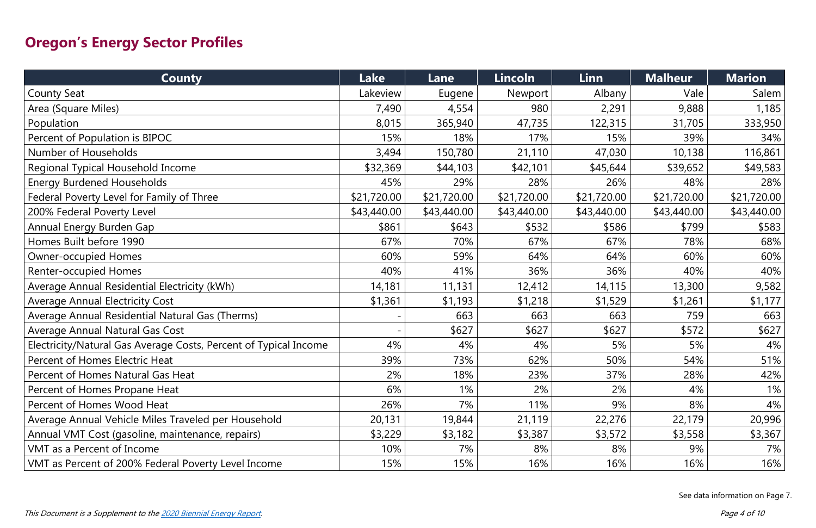| <b>County</b>                                                    | <b>Lake</b> | Lane        | Lincoln     | Linn        | <b>Malheur</b> | <b>Marion</b> |
|------------------------------------------------------------------|-------------|-------------|-------------|-------------|----------------|---------------|
| <b>County Seat</b>                                               | Lakeview    | Eugene      | Newport     | Albany      | Vale           | Salem         |
| Area (Square Miles)                                              | 7,490       | 4,554       | 980         | 2,291       | 9,888          | 1,185         |
| Population                                                       | 8,015       | 365,940     | 47,735      | 122,315     | 31,705         | 333,950       |
| Percent of Population is BIPOC                                   | 15%         | 18%         | 17%         | 15%         | 39%            | 34%           |
| Number of Households                                             | 3,494       | 150,780     | 21,110      | 47,030      | 10,138         | 116,861       |
| Regional Typical Household Income                                | \$32,369    | \$44,103    | \$42,101    | \$45,644    | \$39,652       | \$49,583      |
| <b>Energy Burdened Households</b>                                | 45%         | 29%         | 28%         | 26%         | 48%            | 28%           |
| Federal Poverty Level for Family of Three                        | \$21,720.00 | \$21,720.00 | \$21,720.00 | \$21,720.00 | \$21,720.00    | \$21,720.00   |
| 200% Federal Poverty Level                                       | \$43,440.00 | \$43,440.00 | \$43,440.00 | \$43,440.00 | \$43,440.00    | \$43,440.00   |
| Annual Energy Burden Gap                                         | \$861       | \$643       | \$532       | \$586       | \$799          | \$583         |
| Homes Built before 1990                                          | 67%         | 70%         | 67%         | 67%         | 78%            | 68%           |
| <b>Owner-occupied Homes</b>                                      | 60%         | 59%         | 64%         | 64%         | 60%            | 60%           |
| <b>Renter-occupied Homes</b>                                     | 40%         | 41%         | 36%         | 36%         | 40%            | 40%           |
| Average Annual Residential Electricity (kWh)                     | 14,181      | 11,131      | 12,412      | 14,115      | 13,300         | 9,582         |
| <b>Average Annual Electricity Cost</b>                           | \$1,361     | \$1,193     | \$1,218     | \$1,529     | \$1,261        | \$1,177       |
| Average Annual Residential Natural Gas (Therms)                  |             | 663         | 663         | 663         | 759            | 663           |
| Average Annual Natural Gas Cost                                  |             | \$627       | \$627       | \$627       | \$572          | \$627         |
| Electricity/Natural Gas Average Costs, Percent of Typical Income | 4%          | 4%          | 4%          | 5%          | 5%             | 4%            |
| Percent of Homes Electric Heat                                   | 39%         | 73%         | 62%         | 50%         | 54%            | 51%           |
| Percent of Homes Natural Gas Heat                                | 2%          | 18%         | 23%         | 37%         | 28%            | 42%           |
| Percent of Homes Propane Heat                                    | 6%          | 1%          | 2%          | 2%          | 4%             | $1\%$         |
| Percent of Homes Wood Heat                                       | 26%         | 7%          | 11%         | 9%          | 8%             | 4%            |
| Average Annual Vehicle Miles Traveled per Household              | 20,131      | 19,844      | 21,119      | 22,276      | 22,179         | 20,996        |
| Annual VMT Cost (gasoline, maintenance, repairs)                 | \$3,229     | \$3,182     | \$3,387     | \$3,572     | \$3,558        | \$3,367       |
| VMT as a Percent of Income                                       | 10%         | 7%          | 8%          | 8%          | 9%             | 7%            |
| VMT as Percent of 200% Federal Poverty Level Income              | 15%         | 15%         | 16%         | 16%         | 16%            | 16%           |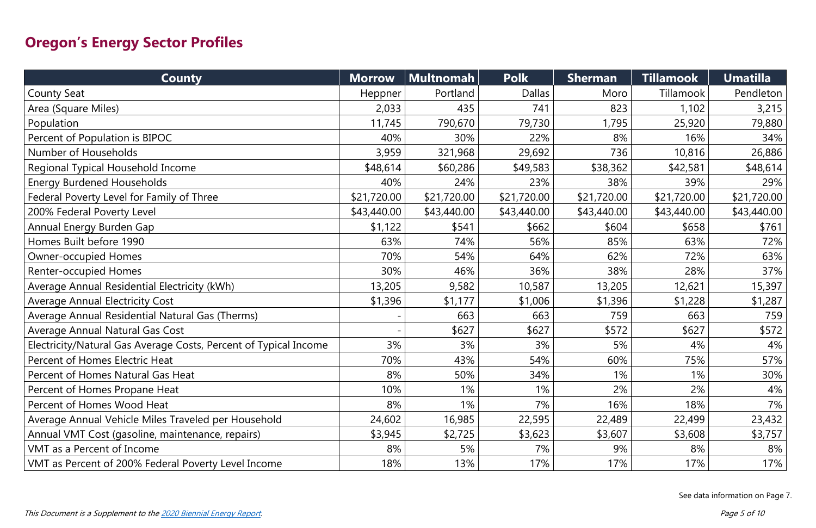| <b>County</b>                                                    | <b>Morrow</b> | <b>Multnomah</b> | <b>Polk</b>   | <b>Sherman</b> | <b>Tillamook</b> | <b>Umatilla</b> |
|------------------------------------------------------------------|---------------|------------------|---------------|----------------|------------------|-----------------|
| <b>County Seat</b>                                               | Heppner       | Portland         | <b>Dallas</b> | Moro           | Tillamook        | Pendleton       |
| Area (Square Miles)                                              | 2,033         | 435              | 741           | 823            | 1,102            | 3,215           |
| Population                                                       | 11,745        | 790,670          | 79,730        | 1,795          | 25,920           | 79,880          |
| Percent of Population is BIPOC                                   | 40%           | 30%              | 22%           | 8%             | 16%              | 34%             |
| Number of Households                                             | 3,959         | 321,968          | 29,692        | 736            | 10,816           | 26,886          |
| Regional Typical Household Income                                | \$48,614      | \$60,286         | \$49,583      | \$38,362       | \$42,581         | \$48,614        |
| <b>Energy Burdened Households</b>                                | 40%           | 24%              | 23%           | 38%            | 39%              | 29%             |
| Federal Poverty Level for Family of Three                        | \$21,720.00   | \$21,720.00      | \$21,720.00   | \$21,720.00    | \$21,720.00      | \$21,720.00     |
| 200% Federal Poverty Level                                       | \$43,440.00   | \$43,440.00      | \$43,440.00   | \$43,440.00    | \$43,440.00      | \$43,440.00     |
| Annual Energy Burden Gap                                         | \$1,122       | \$541            | \$662         | \$604          | \$658            | \$761           |
| Homes Built before 1990                                          | 63%           | 74%              | 56%           | 85%            | 63%              | 72%             |
| <b>Owner-occupied Homes</b>                                      | 70%           | 54%              | 64%           | 62%            | 72%              | 63%             |
| <b>Renter-occupied Homes</b>                                     | 30%           | 46%              | 36%           | 38%            | 28%              | 37%             |
| Average Annual Residential Electricity (kWh)                     | 13,205        | 9,582            | 10,587        | 13,205         | 12,621           | 15,397          |
| <b>Average Annual Electricity Cost</b>                           | \$1,396       | \$1,177          | \$1,006       | \$1,396        | \$1,228          | \$1,287         |
| Average Annual Residential Natural Gas (Therms)                  |               | 663              | 663           | 759            | 663              | 759             |
| <b>Average Annual Natural Gas Cost</b>                           |               | \$627            | \$627         | \$572          | \$627            | \$572           |
| Electricity/Natural Gas Average Costs, Percent of Typical Income | 3%            | 3%               | 3%            | 5%             | 4%               | 4%              |
| Percent of Homes Electric Heat                                   | 70%           | 43%              | 54%           | 60%            | 75%              | 57%             |
| Percent of Homes Natural Gas Heat                                | 8%            | 50%              | 34%           | 1%             | 1%               | 30%             |
| Percent of Homes Propane Heat                                    | 10%           | 1%               | 1%            | 2%             | 2%               | 4%              |
| Percent of Homes Wood Heat                                       | 8%            | 1%               | 7%            | 16%            | 18%              | $7\%$           |
| Average Annual Vehicle Miles Traveled per Household              | 24,602        | 16,985           | 22,595        | 22,489         | 22,499           | 23,432          |
| Annual VMT Cost (gasoline, maintenance, repairs)                 | \$3,945       | \$2,725          | \$3,623       | \$3,607        | \$3,608          | \$3,757         |
| <b>VMT</b> as a Percent of Income                                | 8%            | 5%               | 7%            | 9%             | 8%               | 8%              |
| VMT as Percent of 200% Federal Poverty Level Income              | 18%           | 13%              | 17%           | 17%            | 17%              | 17%             |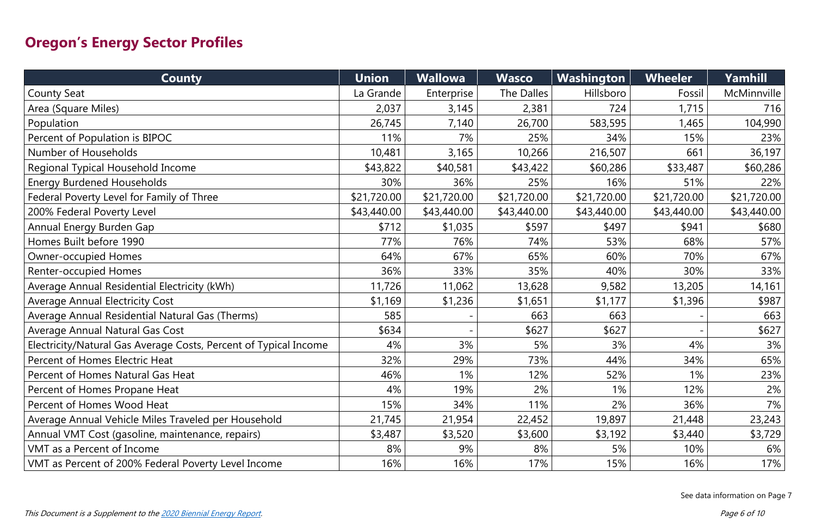| <b>County</b>                                                    | <b>Union</b> | <b>Wallowa</b> | <b>Wasco</b> | Washington  | <b>Wheeler</b> | Yamhill     |
|------------------------------------------------------------------|--------------|----------------|--------------|-------------|----------------|-------------|
| <b>County Seat</b>                                               | La Grande    | Enterprise     | The Dalles   | Hillsboro   | Fossil         | McMinnville |
| Area (Square Miles)                                              | 2,037        | 3,145          | 2,381        | 724         | 1,715          | 716         |
| Population                                                       | 26,745       | 7,140          | 26,700       | 583,595     | 1,465          | 104,990     |
| Percent of Population is BIPOC                                   | 11%          | 7%             | 25%          | 34%         | 15%            | 23%         |
| Number of Households                                             | 10,481       | 3,165          | 10,266       | 216,507     | 661            | 36,197      |
| Regional Typical Household Income                                | \$43,822     | \$40,581       | \$43,422     | \$60,286    | \$33,487       | \$60,286    |
| <b>Energy Burdened Households</b>                                | 30%          | 36%            | 25%          | 16%         | 51%            | 22%         |
| Federal Poverty Level for Family of Three                        | \$21,720.00  | \$21,720.00    | \$21,720.00  | \$21,720.00 | \$21,720.00    | \$21,720.00 |
| 200% Federal Poverty Level                                       | \$43,440.00  | \$43,440.00    | \$43,440.00  | \$43,440.00 | \$43,440.00    | \$43,440.00 |
| Annual Energy Burden Gap                                         | \$712        | \$1,035        | \$597        | \$497       | \$941          | \$680       |
| Homes Built before 1990                                          | 77%          | 76%            | 74%          | 53%         | 68%            | 57%         |
| <b>Owner-occupied Homes</b>                                      | 64%          | 67%            | 65%          | 60%         | 70%            | 67%         |
| <b>Renter-occupied Homes</b>                                     | 36%          | 33%            | 35%          | 40%         | 30%            | 33%         |
| Average Annual Residential Electricity (kWh)                     | 11,726       | 11,062         | 13,628       | 9,582       | 13,205         | 14,161      |
| <b>Average Annual Electricity Cost</b>                           | \$1,169      | \$1,236        | \$1,651      | \$1,177     | \$1,396        | \$987       |
| Average Annual Residential Natural Gas (Therms)                  | 585          |                | 663          | 663         |                | 663         |
| <b>Average Annual Natural Gas Cost</b>                           | \$634        |                | \$627        | \$627       |                | \$627       |
| Electricity/Natural Gas Average Costs, Percent of Typical Income | 4%           | 3%             | 5%           | 3%          | 4%             | 3%          |
| Percent of Homes Electric Heat                                   | 32%          | 29%            | 73%          | 44%         | 34%            | 65%         |
| Percent of Homes Natural Gas Heat                                | 46%          | $1\%$          | 12%          | 52%         | 1%             | 23%         |
| Percent of Homes Propane Heat                                    | 4%           | 19%            | 2%           | 1%          | 12%            | 2%          |
| Percent of Homes Wood Heat                                       | 15%          | 34%            | 11%          | 2%          | 36%            | 7%          |
| Average Annual Vehicle Miles Traveled per Household              | 21,745       | 21,954         | 22,452       | 19,897      | 21,448         | 23,243      |
| Annual VMT Cost (gasoline, maintenance, repairs)                 | \$3,487      | \$3,520        | \$3,600      | \$3,192     | \$3,440        | \$3,729     |
| <b>VMT</b> as a Percent of Income                                | 8%           | 9%             | 8%           | 5%          | 10%            | 6%          |
| VMT as Percent of 200% Federal Poverty Level Income              | 16%          | 16%            | 17%          | 15%         | 16%            | 17%         |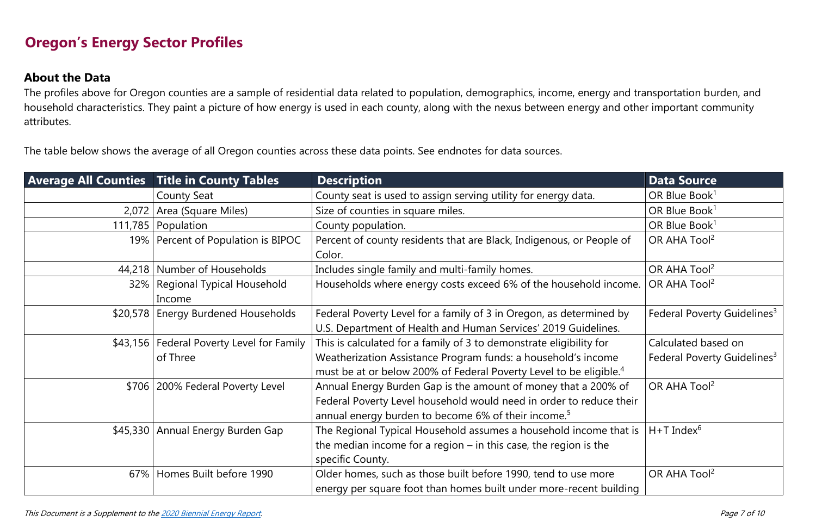### **About the Data**

The profiles above for Oregon counties are a sample of residential data related to population, demographics, income, energy and transportation burden, and household characteristics. They paint a picture of how energy is used in each county, along with the nexus between energy and other important community attributes.

The table below shows the average of all Oregon counties across these data points. See endnotes for data sources.

|       | <b>Average All Counties Title in County Tables</b> | <b>Description</b>                                                                                                                    | <b>Data Source</b>                      |
|-------|----------------------------------------------------|---------------------------------------------------------------------------------------------------------------------------------------|-----------------------------------------|
|       | <b>County Seat</b>                                 | County seat is used to assign serving utility for energy data.                                                                        | OR Blue Book <sup>1</sup>               |
| 2,072 | Area (Square Miles)                                | Size of counties in square miles.                                                                                                     | OR Blue Book <sup>1</sup>               |
|       | 111,785   Population                               | County population.                                                                                                                    | OR Blue Book <sup>1</sup>               |
|       | 19%   Percent of Population is BIPOC               | Percent of county residents that are Black, Indigenous, or People of                                                                  | OR AHA Tool <sup>2</sup>                |
|       |                                                    | Color.                                                                                                                                |                                         |
|       | 44,218 Number of Households                        | Includes single family and multi-family homes.                                                                                        | OR AHA Tool <sup>2</sup>                |
|       | 32%   Regional Typical Household<br>Income         | Households where energy costs exceed 6% of the household income.                                                                      | OR AHA Tool <sup>2</sup>                |
|       | \$20,578   Energy Burdened Households              | Federal Poverty Level for a family of 3 in Oregon, as determined by<br>U.S. Department of Health and Human Services' 2019 Guidelines. | Federal Poverty Guidelines <sup>3</sup> |
|       | \$43,156   Federal Poverty Level for Family        | This is calculated for a family of 3 to demonstrate eligibility for                                                                   | Calculated based on                     |
|       | of Three                                           | Weatherization Assistance Program funds: a household's income                                                                         | Federal Poverty Guidelines <sup>3</sup> |
|       |                                                    | must be at or below 200% of Federal Poverty Level to be eligible. <sup>4</sup>                                                        |                                         |
|       | \$706   200% Federal Poverty Level                 | Annual Energy Burden Gap is the amount of money that a 200% of                                                                        | OR AHA Tool <sup>2</sup>                |
|       |                                                    | Federal Poverty Level household would need in order to reduce their                                                                   |                                         |
|       |                                                    | annual energy burden to become 6% of their income. <sup>5</sup>                                                                       |                                         |
|       | \$45,330 Annual Energy Burden Gap                  | The Regional Typical Household assumes a household income that is                                                                     | $H+T$ Index <sup>6</sup>                |
|       |                                                    | the median income for a region $-$ in this case, the region is the                                                                    |                                         |
|       |                                                    | specific County.                                                                                                                      |                                         |
| 67%   | Homes Built before 1990                            | Older homes, such as those built before 1990, tend to use more                                                                        | OR AHA Tool <sup>2</sup>                |
|       |                                                    | energy per square foot than homes built under more-recent building                                                                    |                                         |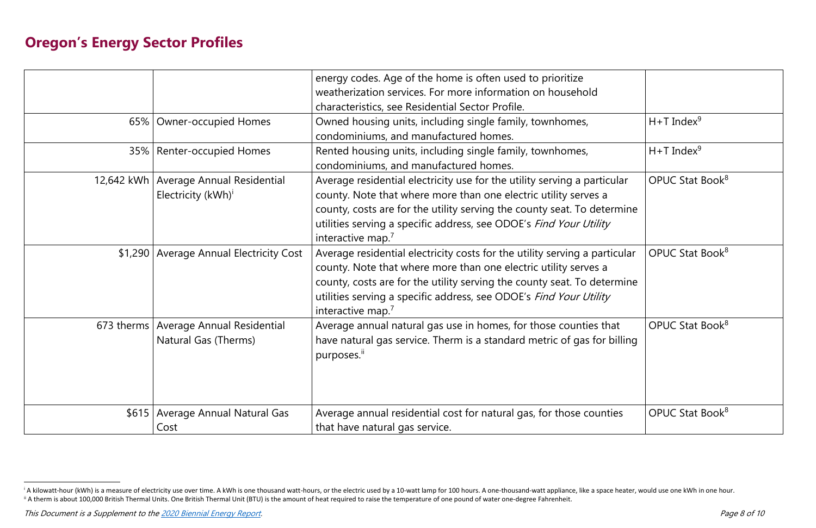|                                                                           | energy codes. Age of the home is often used to prioritize<br>weatherization services. For more information on household<br>characteristics, see Residential Sector Profile.                                                                                                                                                     |                             |
|---------------------------------------------------------------------------|---------------------------------------------------------------------------------------------------------------------------------------------------------------------------------------------------------------------------------------------------------------------------------------------------------------------------------|-----------------------------|
| 65%   Owner-occupied Homes                                                | Owned housing units, including single family, townhomes,<br>condominiums, and manufactured homes.                                                                                                                                                                                                                               | $H+T$ Index <sup>9</sup>    |
| 35%   Renter-occupied Homes                                               | Rented housing units, including single family, townhomes,<br>condominiums, and manufactured homes.                                                                                                                                                                                                                              | $H+T$ Index <sup>9</sup>    |
| 12,642 kWh   Average Annual Residential<br>Electricity (kWh) <sup>i</sup> | Average residential electricity use for the utility serving a particular<br>county. Note that where more than one electric utility serves a<br>county, costs are for the utility serving the county seat. To determine<br>utilities serving a specific address, see ODOE's Find Your Utility<br>interactive map. <sup>7</sup>   | OPUC Stat Book <sup>8</sup> |
| \$1,290 Average Annual Electricity Cost                                   | Average residential electricity costs for the utility serving a particular<br>county. Note that where more than one electric utility serves a<br>county, costs are for the utility serving the county seat. To determine<br>utilities serving a specific address, see ODOE's Find Your Utility<br>interactive map. <sup>7</sup> | OPUC Stat Book <sup>8</sup> |
| 673 therms   Average Annual Residential<br>Natural Gas (Therms)           | Average annual natural gas use in homes, for those counties that<br>have natural gas service. Therm is a standard metric of gas for billing<br>purposes."                                                                                                                                                                       | OPUC Stat Book <sup>8</sup> |
| \$615   Average Annual Natural Gas<br>Cost                                | Average annual residential cost for natural gas, for those counties<br>that have natural gas service.                                                                                                                                                                                                                           | OPUC Stat Book <sup>8</sup> |

<sup>&</sup>lt;sup>i</sup> A kilowatt-hour (kWh) is a measure of electricity use over time. A kWh is one thousand watt-hours, or the electric used by a 10-watt lamp for 100 hours. A one-thousand-watt appliance, like a space heater, would use one <sup>ii</sup> A therm is about 100,000 British Thermal Units. One British Thermal Unit (BTU) is the amount of heat required to raise the temperature of one pound of water one-degree Fahrenheit.

This Document is a Supplement to th[e 2020 Biennial Energy Report.](https://energyinfo.oregon.gov/BER)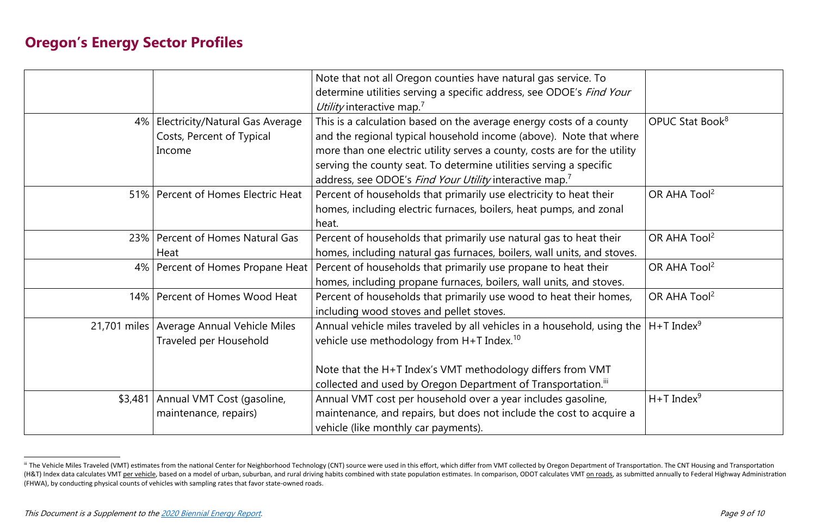|         |                                             | Note that not all Oregon counties have natural gas service. To            |                             |
|---------|---------------------------------------------|---------------------------------------------------------------------------|-----------------------------|
|         |                                             | determine utilities serving a specific address, see ODOE's Find Your      |                             |
|         |                                             | Utility interactive map. <sup>7</sup>                                     |                             |
|         | 4%   Electricity/Natural Gas Average        | This is a calculation based on the average energy costs of a county       | OPUC Stat Book <sup>8</sup> |
|         | Costs, Percent of Typical                   | and the regional typical household income (above). Note that where        |                             |
|         | Income                                      | more than one electric utility serves a county, costs are for the utility |                             |
|         |                                             | serving the county seat. To determine utilities serving a specific        |                             |
|         |                                             | address, see ODOE's Find Your Utility interactive map. <sup>7</sup>       |                             |
|         | 51%   Percent of Homes Electric Heat        | Percent of households that primarily use electricity to heat their        | OR AHA Tool <sup>2</sup>    |
|         |                                             | homes, including electric furnaces, boilers, heat pumps, and zonal        |                             |
|         |                                             | heat.                                                                     |                             |
|         | 23%   Percent of Homes Natural Gas          | Percent of households that primarily use natural gas to heat their        | OR AHA Tool <sup>2</sup>    |
|         | Heat                                        | homes, including natural gas furnaces, boilers, wall units, and stoves.   |                             |
|         | 4%   Percent of Homes Propane Heat          | Percent of households that primarily use propane to heat their            | OR AHA Tool <sup>2</sup>    |
|         |                                             | homes, including propane furnaces, boilers, wall units, and stoves.       |                             |
|         | 14%   Percent of Homes Wood Heat            | Percent of households that primarily use wood to heat their homes,        | OR AHA Tool <sup>2</sup>    |
|         |                                             | including wood stoves and pellet stoves.                                  |                             |
|         | 21,701 miles   Average Annual Vehicle Miles | Annual vehicle miles traveled by all vehicles in a household, using the   | $H+T$ Index <sup>9</sup>    |
|         | <b>Traveled per Household</b>               | vehicle use methodology from $H+T$ Index. <sup>10</sup>                   |                             |
|         |                                             |                                                                           |                             |
|         |                                             | Note that the H+T Index's VMT methodology differs from VMT                |                             |
|         |                                             | collected and used by Oregon Department of Transportation. III            |                             |
| \$3,481 | Annual VMT Cost (gasoline,                  | Annual VMT cost per household over a year includes gasoline,              | $H+T$ Index <sup>9</sup>    |
|         | maintenance, repairs)                       | maintenance, and repairs, but does not include the cost to acquire a      |                             |
|         |                                             | vehicle (like monthly car payments).                                      |                             |

iii The Vehicle Miles Traveled (VMT) estimates from the national Center for Neighborhood Technology (CNT) source were used in this effort, which differ from VMT collected by Oregon Department of Transportation. The CNT Hou (H&T) Index data calculates VMT per vehicle, based on a model of urban, suburban, and rural driving habits combined with state population estimates. In comparison, ODOT calculates VMT on roads, as submitted annually to Fed (FHWA), by conducting physical counts of vehicles with sampling rates that favor state-owned roads.